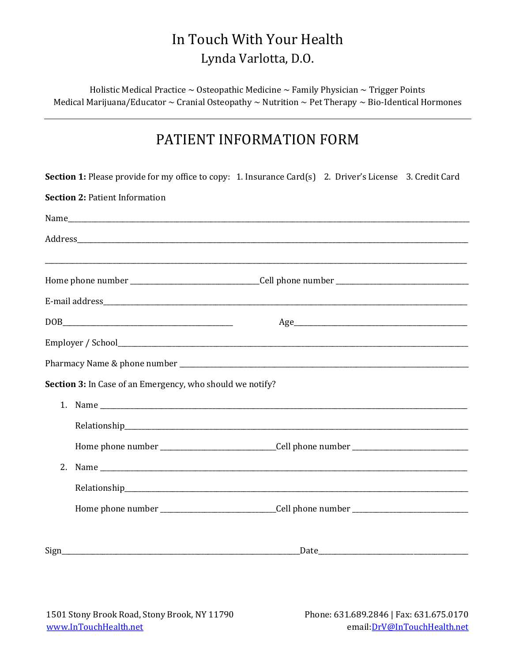Holistic Medical Practice  $\sim$  Osteopathic Medicine  $\sim$  Family Physician  $\sim$  Trigger Points Medical Marijuana/Educator  $\sim$  Cranial Osteopathy  $\sim$  Nutrition  $\sim$  Pet Therapy  $\sim$  Bio-Identical Hormones

## PATIENT INFORMATION FORM

|                                       | Section 1: Please provide for my office to copy: 1. Insurance Card(s) 2. Driver's License 3. Credit Card                                                                                                                       |  |  |  |
|---------------------------------------|--------------------------------------------------------------------------------------------------------------------------------------------------------------------------------------------------------------------------------|--|--|--|
| <b>Section 2: Patient Information</b> |                                                                                                                                                                                                                                |  |  |  |
|                                       |                                                                                                                                                                                                                                |  |  |  |
|                                       |                                                                                                                                                                                                                                |  |  |  |
|                                       | Home phone number ______________________________Cell phone number __________________________________                                                                                                                           |  |  |  |
|                                       |                                                                                                                                                                                                                                |  |  |  |
|                                       |                                                                                                                                                                                                                                |  |  |  |
|                                       |                                                                                                                                                                                                                                |  |  |  |
|                                       |                                                                                                                                                                                                                                |  |  |  |
|                                       | Section 3: In Case of an Emergency, who should we notify?                                                                                                                                                                      |  |  |  |
|                                       |                                                                                                                                                                                                                                |  |  |  |
|                                       | Relationship experience and the contract of the contract of the contract of the contract of the contract of the contract of the contract of the contract of the contract of the contract of the contract of the contract of th |  |  |  |
|                                       | Home phone number ______________________________Cell phone number __________________________________                                                                                                                           |  |  |  |
| 2.                                    |                                                                                                                                                                                                                                |  |  |  |
|                                       |                                                                                                                                                                                                                                |  |  |  |
|                                       | Home phone number _________________________________Cell phone number _______________________________                                                                                                                           |  |  |  |
| Sign                                  |                                                                                                                                                                                                                                |  |  |  |
|                                       |                                                                                                                                                                                                                                |  |  |  |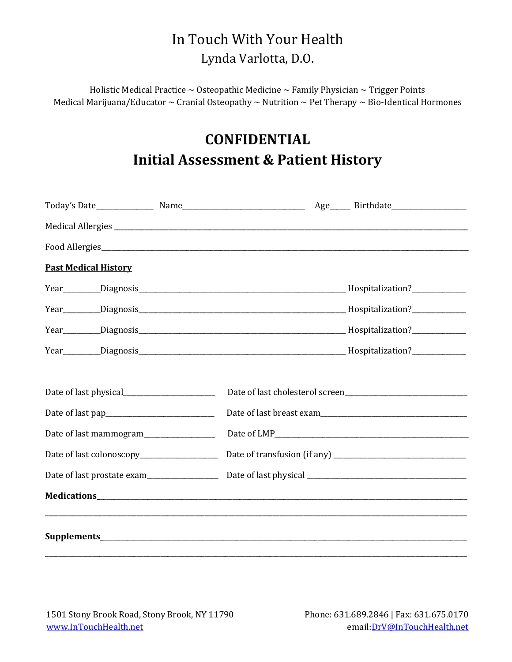Holistic Medical Practice  $\sim$  Osteopathic Medicine  $\sim$  Family Physician  $\sim$  Trigger Points Medical Marijuana/Educator  $\sim$  Cranial Osteopathy  $\sim$  Nutrition  $\sim$  Pet Therapy  $\sim$  Bio-Identical Hormones

## CONFIDENTIAL Initial Assessment & Patient History

| <b>Past Medical History</b>                                                                                                        |  |  |
|------------------------------------------------------------------------------------------------------------------------------------|--|--|
|                                                                                                                                    |  |  |
|                                                                                                                                    |  |  |
|                                                                                                                                    |  |  |
|                                                                                                                                    |  |  |
|                                                                                                                                    |  |  |
|                                                                                                                                    |  |  |
|                                                                                                                                    |  |  |
|                                                                                                                                    |  |  |
|                                                                                                                                    |  |  |
| Date of last prostate exam<br><u>[</u> [11] Date of last prostate exam<br><u>[</u> 12] Date of last prostate exam<br>$\frac{1}{2}$ |  |  |
|                                                                                                                                    |  |  |
|                                                                                                                                    |  |  |
|                                                                                                                                    |  |  |
|                                                                                                                                    |  |  |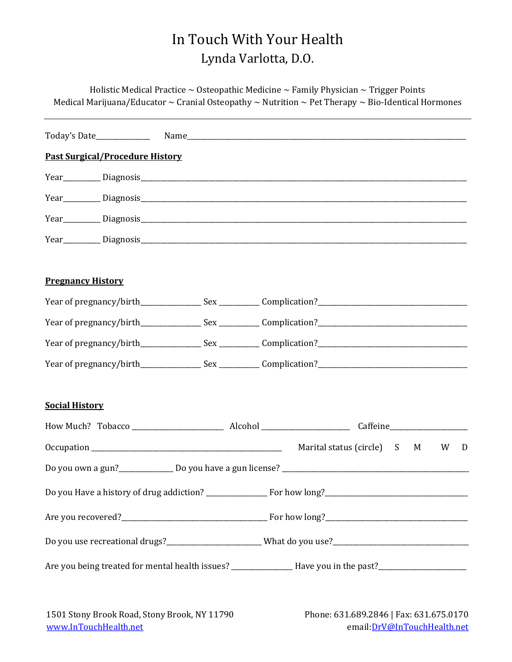Holistic Medical Practice  $\sim$  Osteopathic Medicine  $\sim$  Family Physician  $\sim$  Trigger Points Medical Marijuana/Educator  $\sim$  Cranial Osteopathy  $\sim$  Nutrition  $\sim$  Pet Therapy  $\sim$  Bio-Identical Hormones

| <b>Past Surgical/Procedure History</b>                                                                         |  |  |        |
|----------------------------------------------------------------------------------------------------------------|--|--|--------|
|                                                                                                                |  |  |        |
|                                                                                                                |  |  |        |
|                                                                                                                |  |  |        |
|                                                                                                                |  |  |        |
| <b>Pregnancy History</b>                                                                                       |  |  |        |
|                                                                                                                |  |  |        |
|                                                                                                                |  |  |        |
|                                                                                                                |  |  |        |
|                                                                                                                |  |  |        |
| <b>Social History</b>                                                                                          |  |  |        |
|                                                                                                                |  |  |        |
|                                                                                                                |  |  | W<br>D |
|                                                                                                                |  |  |        |
|                                                                                                                |  |  |        |
|                                                                                                                |  |  |        |
|                                                                                                                |  |  |        |
| Are you being treated for mental health issues? _______________Have you in the past?__________________________ |  |  |        |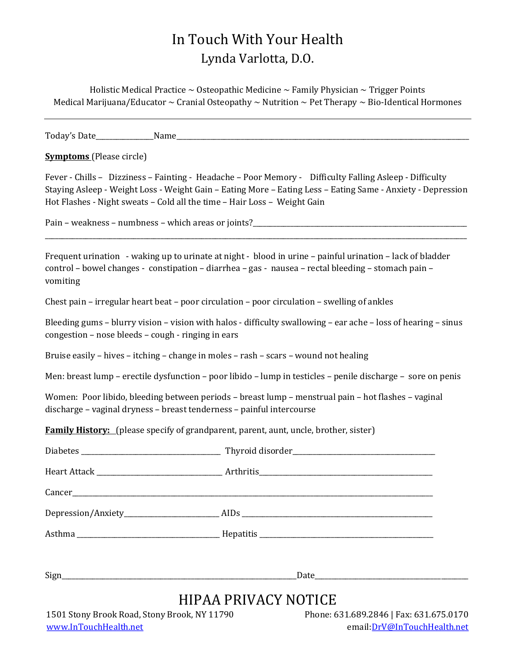Holistic Medical Practice  $\sim$  Osteopathic Medicine  $\sim$  Family Physician  $\sim$  Trigger Points Medical Marijuana/Educator  $\sim$  Cranial Osteopathy  $\sim$  Nutrition  $\sim$  Pet Therapy  $\sim$  Bio-Identical Hormones

Today's Date **Example 2** Name

Symptoms (Please circle)

Fever - Chills – Dizziness – Fainting - Headache – Poor Memory - Difficulty Falling Asleep - Difficulty Staying Asleep - Weight Loss - Weight Gain – Eating More – Eating Less – Eating Same - Anxiety - Depression Hot Flashes - Night sweats – Cold all the time – Hair Loss – Weight Gain

\_\_\_\_\_\_\_\_\_\_\_\_\_\_\_\_\_\_\_\_\_\_\_\_\_\_\_\_\_\_\_\_\_\_\_\_\_\_\_\_\_\_\_\_\_\_\_\_\_\_\_\_\_\_\_\_\_\_\_\_\_\_\_\_\_\_\_\_\_\_\_\_\_\_\_\_\_\_\_\_\_\_\_\_\_\_\_\_\_\_\_\_\_\_\_\_\_\_\_\_\_\_\_\_\_\_\_\_\_\_\_\_\_\_\_\_\_\_\_\_\_\_\_\_

Pain – weakness – numbness – which areas or joints?

Frequent urination - waking up to urinate at night - blood in urine – painful urination – lack of bladder control – bowel changes - constipation – diarrhea – gas - nausea – rectal bleeding – stomach pain – vomiting

Chest pain – irregular heart beat – poor circulation – poor circulation – swelling of ankles

Bleeding gums – blurry vision – vision with halos - difficulty swallowing – ear ache – loss of hearing – sinus congestion – nose bleeds – cough - ringing in ears

Bruise easily – hives – itching – change in moles – rash – scars – wound not healing

Men: breast lump – erectile dysfunction – poor libido – lump in testicles – penile discharge – sore on penis

Women: Poor libido, bleeding between periods – breast lump – menstrual pain – hot flashes – vaginal discharge – vaginal dryness – breast tenderness – painful intercourse

Family History: (please specify of grandparent, parent, aunt, uncle, brother, sister)

|                                              | HIPAA PRIVACY NOTICE |                                         |
|----------------------------------------------|----------------------|-----------------------------------------|
| 1501 Stony Brook Road, Stony Brook, NY 11790 |                      | Phone: 631.689.2846   Fax: 631.675.0170 |

# www.InTouchHealth.net email:DrV@InTouchHealth.net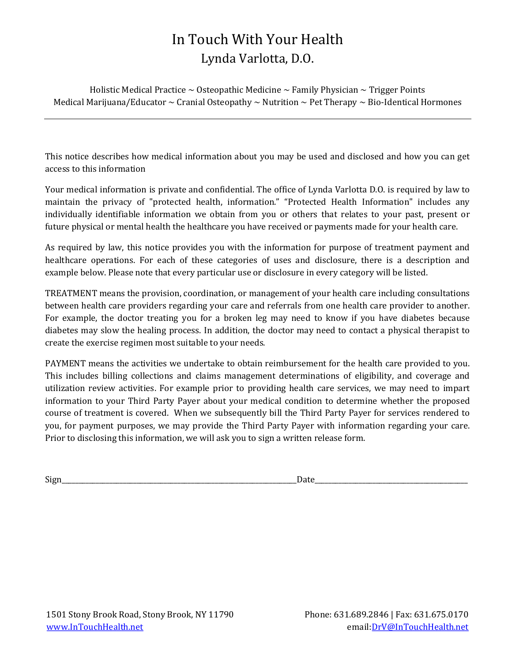Holistic Medical Practice  $\sim$  Osteopathic Medicine  $\sim$  Family Physician  $\sim$  Trigger Points Medical Marijuana/Educator  $\sim$  Cranial Osteopathy  $\sim$  Nutrition  $\sim$  Pet Therapy  $\sim$  Bio-Identical Hormones

This notice describes how medical information about you may be used and disclosed and how you can get access to this information

Your medical information is private and confidential. The office of Lynda Varlotta D.O. is required by law to maintain the privacy of "protected health, information." "Protected Health Information" includes any individually identifiable information we obtain from you or others that relates to your past, present or future physical or mental health the healthcare you have received or payments made for your health care.

As required by law, this notice provides you with the information for purpose of treatment payment and healthcare operations. For each of these categories of uses and disclosure, there is a description and example below. Please note that every particular use or disclosure in every category will be listed.

TREATMENT means the provision, coordination, or management of your health care including consultations between health care providers regarding your care and referrals from one health care provider to another. For example, the doctor treating you for a broken leg may need to know if you have diabetes because diabetes may slow the healing process. In addition, the doctor may need to contact a physical therapist to create the exercise regimen most suitable to your needs.

PAYMENT means the activities we undertake to obtain reimbursement for the health care provided to you. This includes billing collections and claims management determinations of eligibility, and coverage and utilization review activities. For example prior to providing health care services, we may need to impart information to your Third Party Payer about your medical condition to determine whether the proposed course of treatment is covered. When we subsequently bill the Third Party Payer for services rendered to you, for payment purposes, we may provide the Third Party Payer with information regarding your care. Prior to disclosing this information, we will ask you to sign a written release form.

Sign\_\_\_\_\_\_\_\_\_\_\_\_\_\_\_\_\_\_\_\_\_\_\_\_\_\_\_\_\_\_\_\_\_\_\_\_\_\_\_\_\_\_\_\_\_\_\_\_\_\_\_\_\_\_\_\_\_\_\_\_\_\_\_\_\_\_\_\_\_Date\_\_\_\_\_\_\_\_\_\_\_\_\_\_\_\_\_\_\_\_\_\_\_\_\_\_\_\_\_\_\_\_\_\_\_\_\_\_\_\_\_\_\_\_\_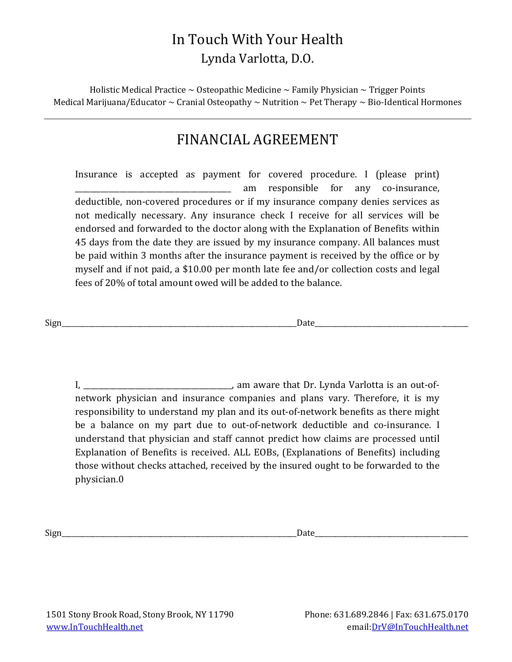Holistic Medical Practice  $\sim$  Osteopathic Medicine  $\sim$  Family Physician  $\sim$  Trigger Points Medical Marijuana/Educator  $\sim$  Cranial Osteopathy  $\sim$  Nutrition  $\sim$  Pet Therapy  $\sim$  Bio-Identical Hormones

## FINANCIAL AGREEMENT

Insurance is accepted as payment for covered procedure. I (please print) \_\_\_\_\_\_\_\_\_\_\_\_\_\_\_\_\_\_\_\_\_\_\_\_\_\_\_\_\_\_\_\_\_\_\_\_\_\_\_\_\_\_ am responsible for any co-insurance, deductible, non-covered procedures or if my insurance company denies services as not medically necessary. Any insurance check I receive for all services will be endorsed and forwarded to the doctor along with the Explanation of Benefits within 45 days from the date they are issued by my insurance company. All balances must be paid within 3 months after the insurance payment is received by the office or by myself and if not paid, a \$10.00 per month late fee and/or collection costs and legal fees of 20% of total amount owed will be added to the balance.

Sign Date

I, \_\_\_\_\_\_\_\_\_\_\_\_\_\_\_\_\_\_\_\_\_\_\_\_\_\_\_\_\_\_\_\_\_\_\_\_\_\_\_\_, am aware that Dr. Lynda Varlotta is an out-ofnetwork physician and insurance companies and plans vary. Therefore, it is my responsibility to understand my plan and its out-of-network benefits as there might be a balance on my part due to out-of-network deductible and co-insurance. I understand that physician and staff cannot predict how claims are processed until Explanation of Benefits is received. ALL EOBs, (Explanations of Benefits) including those without checks attached, received by the insured ought to be forwarded to the physician.0

 $\Box$  Sign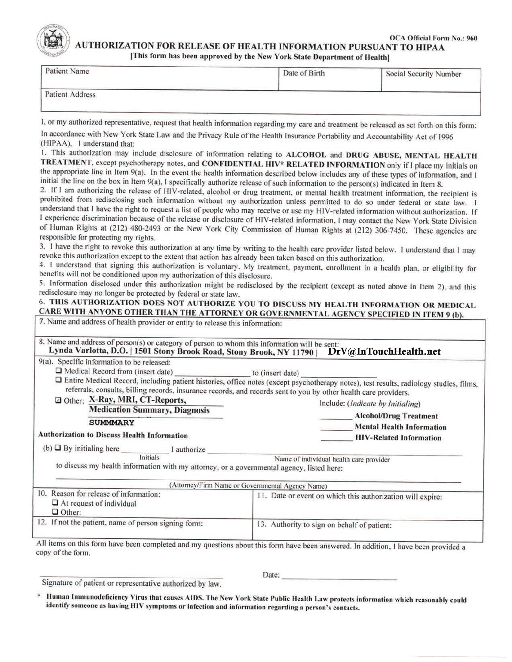

**OCA Official Form No.: 960 AUTHORIZATION FOR RELEASE OF HEALTH INFORMATION PURSUANT TO HIPAA** [This form has been approved by the New York State Department of Health]

| Patient Name    | Date of Birth | Social Security Number |
|-----------------|---------------|------------------------|
| Patient Address |               |                        |

I, or my authorized representative, request that health information regarding my care and treatment be released as set forth on this form:

In accordance with New York State Law and the Privacy Rule of the Health Insurance Portability and Accountability Act of 1996 (HIPAA), I understand that:

1. This authorization may include disclosure of information relating to ALCOHOL and DRUG ABUSE, MENTAL HEALTH TREATMENT, except psychotherapy notes, and CONFIDENTIAL HIV\* RELATED INFORMATION only if I place my initials on the appropriate line in Item 9(a). In the event the health information described below includes any of these types of information, and I initial the line on the box in Item 9(a), I specifically authorize release of such information to the person(s) indicated in Item 8.

2. If I am authorizing the release of HIV-related, alcohol or drug treatment, or mental health treatment information, the recipient is prohibited from redisclosing such information without my authorization unless permitted to do so under federal or state law. I understand that I have the right to request a list of people who may receive or use my HIV-related information without authorization. If I experience discrimination because of the release or disclosure of HIV-related information, I may contact the New York State Division of Human Rights at (212) 480-2493 or the New York City Commission of Human Rights at (212) 306-7450. These agencies are responsible for protecting my rights.

3. I have the right to revoke this authorization at any time by writing to the health care provider listed below. 1 understand that I may revoke this authorization except to the extent that action has already been taken based on this authorization.

4. I understand that signing this authorization is voluntary. My treatment, payment, enrollment in a health plan, or eligibility for benefits will not be conditioned upon my authorization of this disclosure.

5. Information disclosed under this authorization might be redisclosed by the recipient (except as noted above in Item 2), and this redisclosure may no longer be protected by federal or state law.

#### 6. THIS AUTHORIZATION DOES NOT AUTHORIZE YOU TO DISCUSS MY HEALTH INFORMATION OR MEDICAL CARE WITH ANYONE OTHER THAN THE ATTORNEY OR GOVERNMENTAL AGENCY SPECIFIED IN ITEM 9 (b). 7 Name and address of health provide

| 9(a). Specific information to be released:                                                            | Lynda Varlotta, D.O.   1501 Stony Brook Road, Stony Brook, NY 11790   DrV@InTouchHealth.net                                                                                                                                                                  |  |  |
|-------------------------------------------------------------------------------------------------------|--------------------------------------------------------------------------------------------------------------------------------------------------------------------------------------------------------------------------------------------------------------|--|--|
| Medical Record from (insert date) to (insert date)                                                    |                                                                                                                                                                                                                                                              |  |  |
|                                                                                                       | □ Entire Medical Record, including patient histories, office notes (except psychotherapy notes), test results, radiology studies, films,<br>referrals, consults, billing records, insurance records, and records sent to you by other health care providers. |  |  |
| □ Other: X-Ray, MRI, CT-Reports,                                                                      | Include: (Indicate by Initialing)                                                                                                                                                                                                                            |  |  |
| <b>Medication Summary, Diagnosis</b>                                                                  | <b>Alcohol/Drug Treatment</b>                                                                                                                                                                                                                                |  |  |
| <b>SUMMMARY</b>                                                                                       | <b>Mental Health Information</b>                                                                                                                                                                                                                             |  |  |
| <b>Authorization to Discuss Health Information</b>                                                    | <b>HIV-Related Information</b>                                                                                                                                                                                                                               |  |  |
| (b) $\Box$ By initialing here $\Box$ I authorize                                                      |                                                                                                                                                                                                                                                              |  |  |
| Initials<br>to discuss my health information with my attorney, or a governmental agency, listed here: | Name of individual health care provider                                                                                                                                                                                                                      |  |  |
|                                                                                                       | (Attorney/Firm Name or Governmental Agency Name)                                                                                                                                                                                                             |  |  |
| 10. Reason for release of information:<br>$\Box$ At request of individual<br>$\Box$ Other:            | 11. Date or event on which this authorization will expire:                                                                                                                                                                                                   |  |  |
| 12. If not the patient, name of person signing form:                                                  | 13. Authority to sign on behalf of patient:                                                                                                                                                                                                                  |  |  |

Signature of patient or representative authorized by law.

Date:

Human Immunodeficiency Virus that causes AIDS. The New York State Public Health Law protects information which reasonably could identify someone as having HIV symptoms or infection and information regarding a person's contacts.